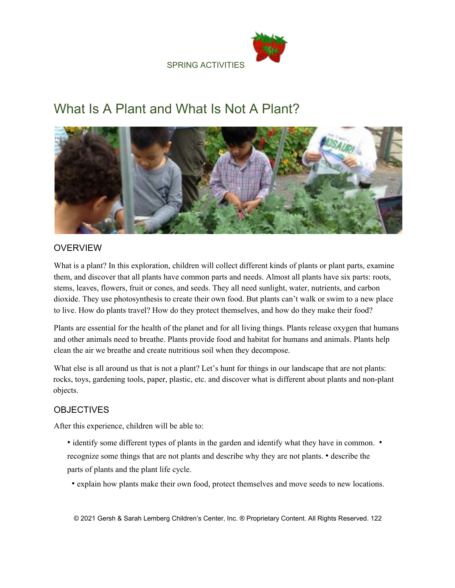SPRING ACTIVITIES



# What Is A Plant and What Is Not A Plant?



# **OVERVIEW**

What is a plant? In this exploration, children will collect different kinds of plants or plant parts, examine them, and discover that all plants have common parts and needs. Almost all plants have six parts: roots, stems, leaves, flowers, fruit or cones, and seeds. They all need sunlight, water, nutrients, and carbon dioxide. They use photosynthesis to create their own food. But plants can't walk or swim to a new place to live. How do plants travel? How do they protect themselves, and how do they make their food?

Plants are essential for the health of the planet and for all living things. Plants release oxygen that humans and other animals need to breathe. Plants provide food and habitat for humans and animals. Plants help clean the air we breathe and create nutritious soil when they decompose.

What else is all around us that is not a plant? Let's hunt for things in our landscape that are not plants: rocks, toys, gardening tools, paper, plastic, etc. and discover what is different about plants and non-plant objects.

# **OBJECTIVES**

After this experience, children will be able to:

- identify some different types of plants in the garden and identify what they have in common. recognize some things that are not plants and describe why they are not plants. • describe the parts of plants and the plant life cycle.
	- explain how plants make their own food, protect themselves and move seeds to new locations.

© 2021 Gersh & Sarah Lemberg Children's Center, Inc. ® Proprietary Content. All Rights Reserved. 122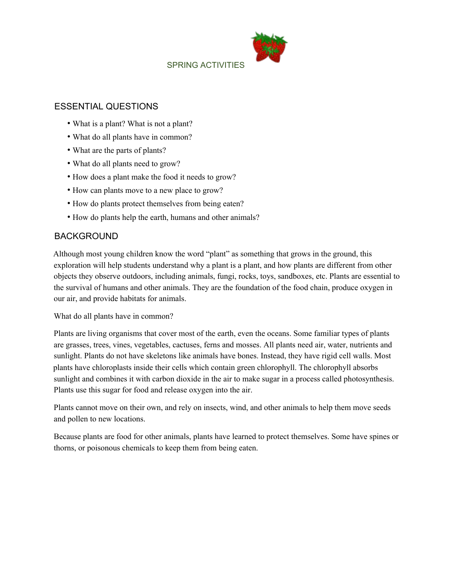SPRING ACTIVITIES



#### ESSENTIAL QUESTIONS

- What is a plant? What is not a plant?
- What do all plants have in common?
- What are the parts of plants?
- What do all plants need to grow?
- How does a plant make the food it needs to grow?
- How can plants move to a new place to grow?
- How do plants protect themselves from being eaten?
- How do plants help the earth, humans and other animals?

#### BACKGROUND

Although most young children know the word "plant" as something that grows in the ground, this exploration will help students understand why a plant is a plant, and how plants are different from other objects they observe outdoors, including animals, fungi, rocks, toys, sandboxes, etc. Plants are essential to the survival of humans and other animals. They are the foundation of the food chain, produce oxygen in our air, and provide habitats for animals.

What do all plants have in common?

Plants are living organisms that cover most of the earth, even the oceans. Some familiar types of plants are grasses, trees, vines, vegetables, cactuses, ferns and mosses. All plants need air, water, nutrients and sunlight. Plants do not have skeletons like animals have bones. Instead, they have rigid cell walls. Most plants have chloroplasts inside their cells which contain green chlorophyll. The chlorophyll absorbs sunlight and combines it with carbon dioxide in the air to make sugar in a process called photosynthesis. Plants use this sugar for food and release oxygen into the air.

Plants cannot move on their own, and rely on insects, wind, and other animals to help them move seeds and pollen to new locations.

Because plants are food for other animals, plants have learned to protect themselves. Some have spines or thorns, or poisonous chemicals to keep them from being eaten.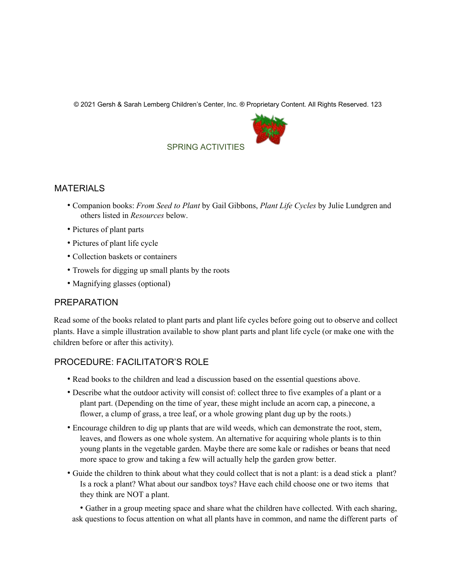© 2021 Gersh & Sarah Lemberg Children's Center, Inc. ® Proprietary Content. All Rights Reserved. 123



## SPRING ACTIVITIES

#### MATERIALS

- Companion books: *From Seed to Plant* by Gail Gibbons, *Plant Life Cycles* by Julie Lundgren and others listed in *Resources* below.
- Pictures of plant parts
- Pictures of plant life cycle
- Collection baskets or containers
- Trowels for digging up small plants by the roots
- Magnifying glasses (optional)

#### PREPARATION

Read some of the books related to plant parts and plant life cycles before going out to observe and collect plants. Have a simple illustration available to show plant parts and plant life cycle (or make one with the children before or after this activity).

## PROCEDURE: FACILITATOR'S ROLE

- Read books to the children and lead a discussion based on the essential questions above.
- Describe what the outdoor activity will consist of: collect three to five examples of a plant or a plant part. (Depending on the time of year, these might include an acorn cap, a pinecone, a flower, a clump of grass, a tree leaf, or a whole growing plant dug up by the roots.)
- Encourage children to dig up plants that are wild weeds, which can demonstrate the root, stem, leaves, and flowers as one whole system. An alternative for acquiring whole plants is to thin young plants in the vegetable garden. Maybe there are some kale or radishes or beans that need more space to grow and taking a few will actually help the garden grow better.
- Guide the children to think about what they could collect that is not a plant: is a dead stick a plant? Is a rock a plant? What about our sandbox toys? Have each child choose one or two items that they think are NOT a plant.

• Gather in a group meeting space and share what the children have collected. With each sharing, ask questions to focus attention on what all plants have in common, and name the different parts of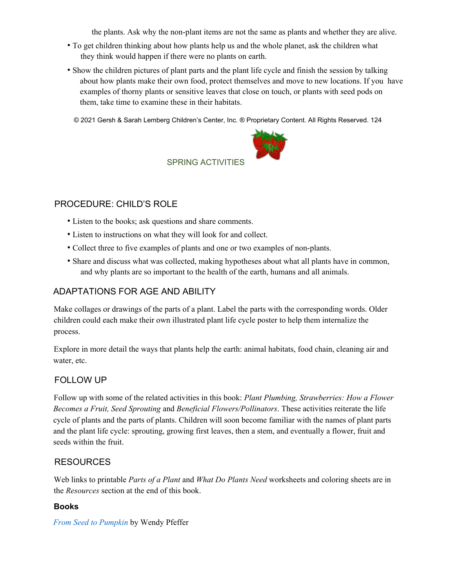the plants. Ask why the non-plant items are not the same as plants and whether they are alive.

- To get children thinking about how plants help us and the whole planet, ask the children what they think would happen if there were no plants on earth.
- Show the children pictures of plant parts and the plant life cycle and finish the session by talking about how plants make their own food, protect themselves and move to new locations. If you have examples of thorny plants or sensitive leaves that close on touch, or plants with seed pods on them, take time to examine these in their habitats.

© 2021 Gersh & Sarah Lemberg Children's Center, Inc. ® Proprietary Content. All Rights Reserved. 124



## SPRING ACTIVITIES

# PROCEDURE: CHILD'S ROLE

- Listen to the books; ask questions and share comments.
- Listen to instructions on what they will look for and collect.
- Collect three to five examples of plants and one or two examples of non-plants.
- Share and discuss what was collected, making hypotheses about what all plants have in common, and why plants are so important to the health of the earth, humans and all animals.

# ADAPTATIONS FOR AGE AND ABILITY

Make collages or drawings of the parts of a plant. Label the parts with the corresponding words. Older children could each make their own illustrated plant life cycle poster to help them internalize the process.

Explore in more detail the ways that plants help the earth: animal habitats, food chain, cleaning air and water, etc.

## FOLLOW UP

Follow up with some of the related activities in this book: *Plant Plumbing, Strawberries: How a Flower Becomes a Fruit, Seed Sprouting* and *Beneficial Flowers/Pollinators*. These activities reiterate the life cycle of plants and the parts of plants. Children will soon become familiar with the names of plant parts and the plant life cycle: sprouting, growing first leaves, then a stem, and eventually a flower, fruit and seeds within the fruit.

## RESOURCES

Web links to printable *Parts of a Plant* and *What Do Plants Need* worksheets and coloring sheets are in the *Resources* section at the end of this book.

#### **Books**

*From Seed to Pumpkin* by Wendy Pfeffer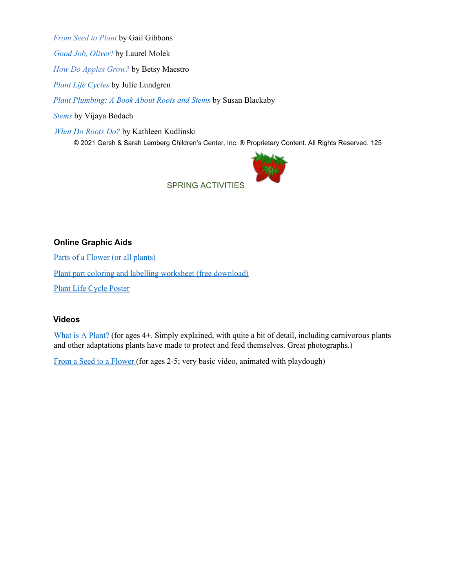*From Seed to Plant* by Gail Gibbons

*Good Job, Oliver!* by Laurel Molek

*How Do Apples Grow?* by Betsy Maestro

*Plant Life Cycles* by Julie Lundgren

*Plant Plumbing: A Book About Roots and Stems* by Susan Blackaby

*Stems* by Vijaya Bodach

*What Do Roots Do?* by Kathleen Kudlinski

© 2021 Gersh & Sarah Lemberg Children's Center, Inc. ® Proprietary Content. All Rights Reserved. 125



SPRING ACTIVITIES

### **Online Graphic Aids**

Parts of a Flower (or all plants)

Plant part coloring and labelling worksheet (free download)

Plant Life Cycle Poster

#### **Videos**

What is A Plant? (for ages 4+. Simply explained, with quite a bit of detail, including carnivorous plants and other adaptations plants have made to protect and feed themselves. Great photographs.)

From a Seed to a Flower (for ages 2-5; very basic video, animated with playdough)